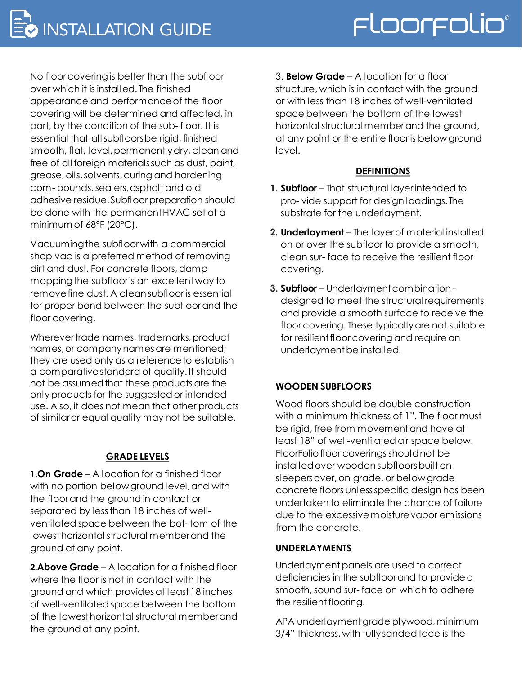No floor covering is better than the subfloor over which it is installed.The finished appearance and performanceof the floor covering will be determined and affected, in part, by the condition of the sub- floor. It is essential that allsubfloorsbe rigid, finished smooth, flat, level, permanentlydry, clean and free of all foreign materialssuch as dust, paint, grease,oils,solvents,curing and hardening com- pounds, sealers, asphalt and old adhesive residue. Subfloor preparation should be done with the permanentHVAC set at a minimum of 68°F (20°C).

Vacuumingthe subfloorwith a commercial shop vac is a preferred method of removing dirt and dust. For concrete floors, damp mopping the subflooris an excellent way to removefine dust. A cleansubfloor is essential for proper bond between the subfloorand the floor covering.

Wherever trade names, trademarks, product names, or company names are mentioned; they are used only as a reference to establish a comparativestandard of quality. It should not be assumed that these products are the only products for the suggestedor intended use. Also, it does not mean that other products of similaror equal quality may not be suitable.

# **GRADE LEVELS**

**1.On Grade** – A location for a finished floor with no portion below ground level, and with the floor and the ground in contact or separated by less than 18 inches of wellventilated space between the bot- tom of the lowesthorizontal structural memberand the ground at any point.

**2.Above Grade** – A location for a finished floor where the floor is not in contact with the ground and which providesat least 18 inches of well-ventilated space between the bottom of the lowesthorizontal structural memberand the ground at any point.

3. **Below Grade** – A location for a floor structure, which is in contact with the ground or with less than 18 inches of well-ventilated space between the bottom of the lowest horizontal structural memberand the ground, at any point or the entire floor is below ground level.

Floorfolio®

### **DEFINITIONS**

- **1. Subfloor** That structural layerintended to pro- vide support for design loadings.The substrate for the underlayment.
- **2. Underlayment** The layerof material installed on or over the subfloor to provide a smooth, clean sur- face to receive the resilient floor covering.
- **3. Subfloor** Underlayment combination designed to meet the structural requirements and provide a smooth surface to receive the floor covering. These typicallyare not suitable for resilient floor covering and require an underlayment be installed.

# **WOODEN SUBFLOORS**

Wood floors should be double construction with a minimum thickness of 1". The floor must be rigid, free from movement and have at least 18" of well-ventilated air space below. FloorFoliofloor coverings shouldnot be installed over wooden subfloors built on sleepersover,on grade, or below grade concrete floors unlessspecific design has been undertaken to eliminate the chance of failure due to the excessive moisture vapor emissions from the concrete.

#### **UNDERLAYMENTS**

Underlayment panels are used to correct deficiencies in the subfloorand to providea smooth, sound sur- face on which to adhere the resilient flooring.

APA underlaymentgrade plywood,minimum 3/4" thickness,with fully sanded face is the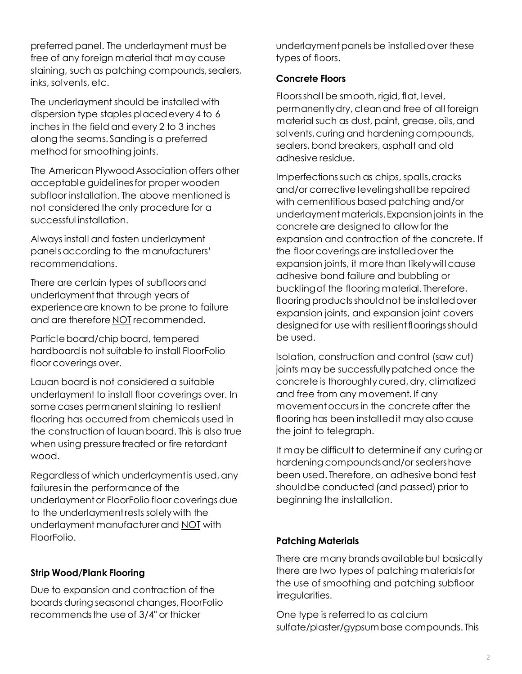preferred panel. The underlayment must be free of any foreign material that may cause staining, such as patching compounds, sealers, inks, solvents, etc.

The underlayment should be installed with dispersion type staples placedevery 4 to 6 inches in the field and every 2 to 3 inches along the seams.Sanding is a preferred method for smoothing joints.

The American Plywood Association offers other acceptable guidelinesfor proper wooden subfloor installation. The above mentioned is not considered the only procedure for a successful installation.

Alwaysinstall and fasten underlayment panels according to the manufacturers' recommendations.

There are certain types of subfloors and underlayment that through years of experienceare known to be prone to failure and are therefore NOT recommended.

Particle board/chip board, tempered hardboardis not suitable to install FloorFolio floor coverings over.

Lauan board is not considered a suitable underlayment to install floor coverings over. In some cases permanentstaining to resilient flooring has occurred from chemicals used in the construction of lauan board. This is also true when using pressure treated or fire retardant wood.

Regardlessof which underlaymentis used,any failuresin the performance of the underlayment or FloorFolio floor coverings due to the underlaymentrests solelywith the underlayment manufacturer and NOT with FloorFolio.

# **Strip Wood/Plank Flooring**

Due to expansion and contraction of the boards during seasonal changes, FloorFolio recommends the use of 3/4" or thicker

underlayment panels be installed over these types of floors.

#### **Concrete Floors**

Floorsshall be smooth, rigid, flat, level, permanentlydry, clean and free of all foreign material such as dust, paint, grease, oils, and solvents, curing and hardening compounds, sealers, bond breakers, asphalt and old adhesive residue.

Imperfections such as chips, spalls, cracks and/or corrective levelingshall be repaired with cementitious based patching and/or underlaymentmaterials.Expansion joints in the concrete are designed to allow for the expansion and contraction of the concrete. If the floor coverings are installed over the expansion joints, it more than likely will cause adhesive bond failure and bubbling or bucklingof the flooring material.Therefore, flooring products shouldnot be installedover expansion joints, and expansion joint covers designed for use with resilient floorings should be used.

Isolation, construction and control (saw cut) joints may be successfullypatched once the concrete is thoroughlycured, dry, climatized and free from any movement. If any movement occursin the concrete after the flooring has been installedit may also cause the joint to telegraph.

It may be difficult to determineif any curing or hardening compoundsand/or sealershave been used. Therefore, an adhesive bond test shouldbe conducted (and passed) prior to beginning the installation.

#### **Patching Materials**

There are many brands available but basically there are two types of patching materialsfor the use of smoothing and patching subfloor irregularities.

One type is referred to as calcium sulfate/plaster/gypsumbase compounds. This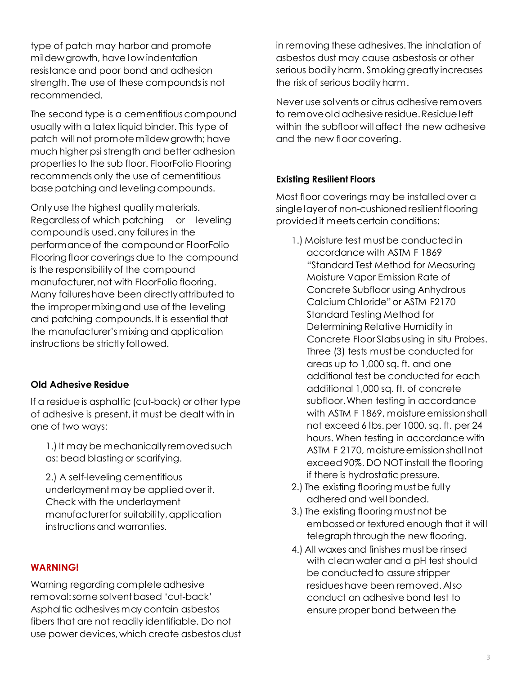type of patch may harbor and promote mildewgrowth, have low indentation resistance and poor bond and adhesion strength. The use of these compoundsis not recommended.

The second type is a cementitious compound usually with a latex liquid binder. This type of patch will not promotemildewgrowth; have much higher psi strength and better adhesion properties to the sub floor. FloorFolio Flooring recommends only the use of cementitious base patching and leveling compounds.

Onlyuse the highest quality materials. Regardlessof which patching or leveling compound is used, any failures in the performanceof the compoundor FloorFolio Flooringfloor coveringsdue to the compound is the responsibilityof the compound manufacturer,not with FloorFolio flooring. Many failureshave been directlyattributed to the impropermixingand use of the leveling and patching compounds.It is essential that the manufacturer'smixingand application instructions be strictly followed.

#### **Old Adhesive Residue**

If a residue is asphaltic (cut-back) or other type of adhesive is present, it must be dealt with in one of two ways:

1.) It may be mechanicallyremovedsuch as: bead blasting or scarifying.

2.) A self-leveling cementitious underlaymentmaybe appliedover it. Check with the underlayment manufacturerfor suitability, application instructions and warranties.

#### **WARNING!**

Warning regarding complete adhesive removal:somesolventbased 'cut-back' Asphaltic adhesivesmay contain asbestos fibers that are not readily identifiable. Do not use power devices,which create asbestos dust in removing these adhesives. The inhalation of asbestos dust may cause asbestosis or other serious bodily harm. Smoking greatly increases the risk of serious bodilyharm.

Never use solventsor citrus adhesive removers to removeoldadhesive residue.Residueleft within the subfloor will affect the new adhesive and the new floorcovering.

#### **Existing Resilient Floors**

Most floor coverings may be installed over a single layer of non-cushioned resilient flooring providedit meetscertain conditions:

- 1.) Moisture test mustbe conducted in accordance with ASTM F 1869 "Standard Test Method for Measuring Moisture Vapor Emission Rate of Concrete Subfloor using Anhydrous Calcium Chloride"or ASTM F2170 Standard Testing Method for Determining Relative Humidity in Concrete Floor Slabs using in situ Probes. Three (3) tests mustbe conducted for areas up to 1,000 sq. ft. and one additional test be conducted for each additional 1,000 sq. ft. of concrete subfloor.When testing in accordance with ASTM F 1869, moisture emission shall not exceed6 lbs.per 1000, sq. ft. per 24 hours. When testing in accordance with ASTM F 2170, moisture emission shall not exceed90%. DO NOT install the flooring if there is hydrostatic pressure.
- 2.) The existing flooring must be fully adhered and wellbonded.
- 3.) The existing flooring mustnot be embossedor textured enough that it will telegraph through the new flooring.
- 4.) All waxes and finishes must be rinsed with clean water and a pH test should be conducted to assure stripper residues have been removed.Also conduct an adhesive bond test to ensure proper bond between the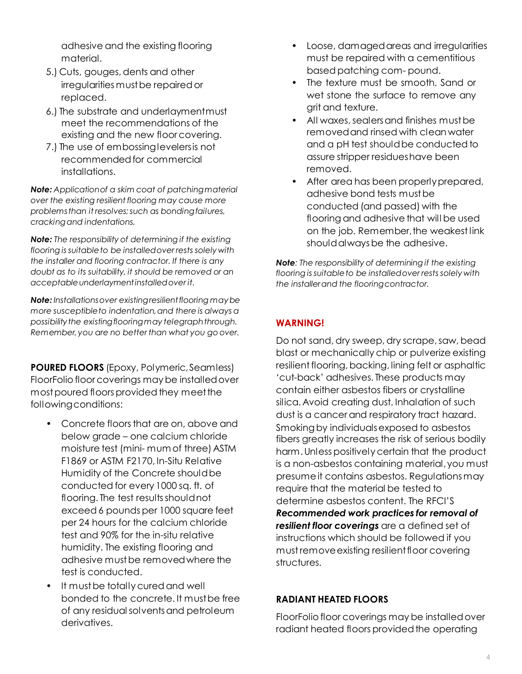adhesive and the existing flooring material.

- 5.) Cuts, gouges, dents and other irregularities must be repaired or replaced.
- 6.) The substrate and underlaymentmust meet the recommendations of the existing and the new floor covering.
- 7.) The use of embossinglevelersis not recommended for commercial installations.

*Note: Applicationof a skim coat of patchingmaterial over the existing resilient flooring may cause more problemsthan it resolves; such as bondingfailures, crackingand indentations.*

*Note: The responsibility of determining if the existing flooring issuitableto be installedover rests solely with the installer and flooring contractor. If there is any doubt as to its suitability, it should be removed or an acceptableunderlaymentinstalledover it.*

*Note: Installationsover existingresilientflooring maybe more susceptibleto indentation,and there is always a possibilitythe existingflooringmay telegraphthrough. Remember,you are no better than what you go over.*

**POURED FLOORS** (Epoxy, Polymeric, Seamless) FloorFolio floorcoverings maybe installedover most poured floors provided they meet the followingconditions:

- Concrete floors that are on, above and below grade – one calcium chloride moisture test (mini- mum of three) ASTM F1869 or ASTM F2170, In-Situ Relative Humidity of the Concrete shouldbe conducted for every 1000 sq. ft. of flooring. The test results shouldnot exceed 6 pounds per 1000 square feet per 24 hours for the calcium chloride test and 90% for the in-situ relative humidity. The existing flooring and adhesive must be removedwhere the test is conducted.
- It must be totally cured and well bonded to the concrete. It mustbe free of any residual solvents and petroleum derivatives.
- Loose, damagedareas and irregularities must be repaired with a cementitious based patching com- pound.
- The texture must be smooth. Sand or wet stone the surface to remove any grit and texture.
- All waxes, sealers and finishes must be removedand rinsed with clean water and a pH test should be conducted to assure stripper residueshave been removed.
- After area has been properlyprepared, adhesive bond tests mustbe conducted (and passed) with the flooring and adhesive that will be used on the job. Remember, the weakest link shouldalways be the adhesive.

*Note: The responsibility of determining if the existing flooring issuitableto be installedover rests solely with the installerand the flooringcontractor.*

# **WARNING!**

Do not sand, dry sweep, dry scrape, saw, bead blast or mechanically chip or pulverize existing resilient flooring, backing, lining felt or asphaltic 'cut-back' adhesives. These products may contain either asbestos fibers or crystalline silica. Avoid creating dust. Inhalation of such dust is a cancer and respiratory tract hazard. Smoking by individuals exposed to asbestos fibers greatly increases the risk of serious bodily harm.Unless positively certain that the product is a non-asbestos containing material,you must presumeit contains asbestos. Regulations may require that the material be tested to determine asbestos content. The RFCI'S *Recommended work practices for removal of resilient floor coverings* are a defined set of instructions which should be followed if you mustremoveexisting resilientfloor covering structures.

# **RADIANT HEATED FLOORS**

FloorFolio floor coverings may be installed over radiant heated floors provided the operating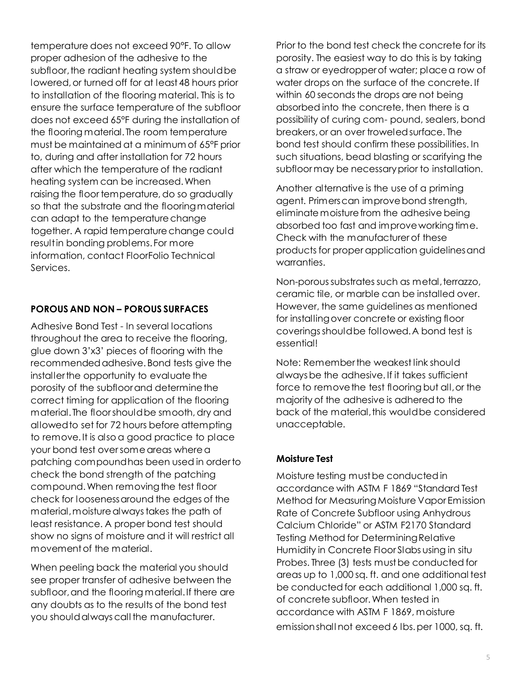temperature does not exceed 90°F. To allow proper adhesion of the adhesive to the subfloor, the radiant heating system should be lowered,or turned off for at least 48 hours prior to installation of the flooring material. This is to ensure the surface temperature of the subfloor does not exceed 65°F during the installation of the flooring material.The room temperature must be maintained at a minimum of 65°F prior to, during and after installation for 72 hours after which the temperature of the radiant heating system can be increased.When raising the floor temperature, do so gradually so that the substrate and the flooringmaterial can adapt to the temperature change together. A rapid temperature change could resultin bonding problems.For more information, contact FloorFolio Technical Services.

### **POROUS AND NON – POROUS SURFACES**

Adhesive Bond Test - In several locations throughout the area to receive the flooring, glue down 3'x3' pieces of flooring with the recommended adhesive.Bond tests give the installerthe opportunity to evaluate the porosity of the subfloor and determine the correct timing for application of the flooring material.The floor shouldbe smooth, dry and allowedto set for 72 hours before attempting to remove.It is also a good practice to place your bond test over some areas where a patching compoundhas been used in orderto check the bond strength of the patching compound. When removing the test floor check for loosenessaround the edges of the material, moisture always takes the path of least resistance. A proper bond test should show no signs of moisture and it will restrict all movement of the material.

When peeling back the material you should see proper transfer of adhesive between the subfloor, and the flooring material. If there are any doubts as to the results of the bond test you shouldalways call the manufacturer.

Prior to the bond test check the concrete for its porosity. The easiest way to do this is by taking a straw or eyedropperof water; place a row of water drops on the surface of the concrete. If within 60 seconds the drops are not being absorbed into the concrete, then there is a possibility of curing com- pound, sealers, bond breakers,or an over troweledsurface. The bond test should confirm these possibilities. In such situations, bead blasting or scarifying the subfloormay be necessaryprior to installation.

Another alternative is the use of a priming agent. Primerscan improvebond strength, eliminate moisture from the adhesive being absorbed too fast and improveworking time. Check with the manufacturerof these products for proper application guidelinesand warranties.

Non-porous substrates such as metal, terrazzo, ceramic tile, or marble can be installed over. However, the same guidelines as mentioned for installingover concrete or existing floor coverings should be followed. A bond test is essential!

Note: Rememberthe weakest link should always be the adhesive. If it takes sufficient force to remove the test flooring but all, or the majority of the adhesive is adhered to the back of the material, this would be considered unacceptable.

#### **Moisture Test**

Moisture testing must be conductedin accordance with ASTM F 1869 "Standard Test Method for Measuring Moisture Vapor Emission Rate of Concrete Subfloor using Anhydrous Calcium Chloride" or ASTM F2170 Standard Testing Method for Determining Relative Humidity in Concrete Floor Slabs using in situ Probes. Three (3) tests must be conducted for areas up to 1,000 sq. ft. and one additional test be conducted for each additional 1,000 sq. ft. of concrete subfloor.When tested in accordance with ASTM F 1869, moisture emissionshall not exceed 6 lbs.per 1000, sq. ft.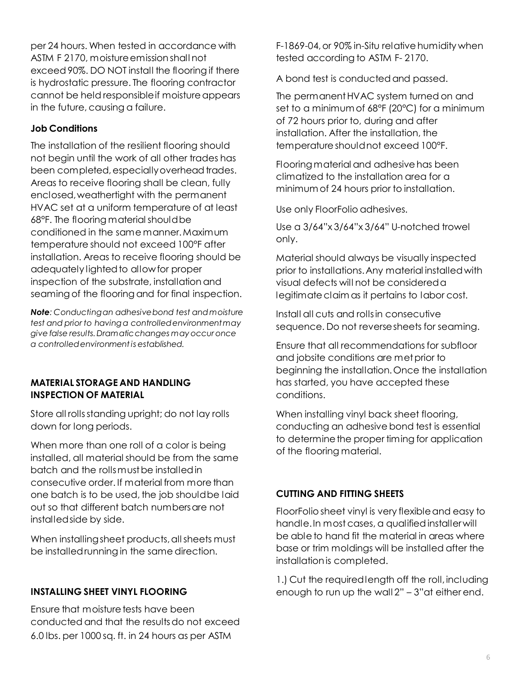per 24 hours. When tested in accordance with ASTM F 2170, moisture emission shall not exceed90%. DO NOT install the flooring if there is hydrostatic pressure. The flooring contractor cannot be held responsibleif moistureappears in the future, causing a failure.

### **Job Conditions**

The installation of the resilient flooring should not begin until the work of all other trades has been completed,especiallyoverhead trades. Areas to receive flooring shall be clean, fully enclosed,weathertight with the permanent HVAC set at a uniform temperature of at least 68°F. The flooring material shouldbe conditioned in the same manner.Maximum temperature should not exceed 100°F after installation. Areas to receive flooring should be adequately lighted to allowfor proper inspection of the substrate, installation and seamingof the flooring and for final inspection.

*Note: Conductingan adhesivebond test and moisture test and prior to havinga controlledenvironmentmay give false results.Dramaticchanges may occur once a controlledenvironment is established.*

### **MATERIAL STORAGE AND HANDLING INSPECTION OF MATERIAL**

Store all rolls standing upright; do not lay rolls down for long periods.

When more than one roll of a color is being installed, all material should be from the same batch and the rollsmust be installed in consecutive order. If material from more than one batch is to be used, the job shouldbe laid out so that different batch numbersare not installedside by side.

When installing sheet products, all sheets must be installedrunning in the same direction.

# **INSTALLING SHEET VINYL FLOORING**

Ensure that moisture tests have been conducted and that the results do not exceed 6.0 lbs. per 1000 sq. ft. in 24 hours as per ASTM

F-1869-04,or 90% in-Situ relative humidity when tested according to ASTM F- 2170.

A bond test is conducted and passed.

The permanent HVAC system turned on and set to a minimumof 68°F (20°C) for a minimum of 72 hours prior to, during and after installation. After the installation, the temperature shouldnot exceed 100°F.

Flooring material and adhesive has been climatized to the installation area for a minimum of 24 hours prior to installation.

Use only FloorFolio adhesives.

Use a 3/64"x 3/64"x 3/64" U-notched trowel only.

Material should always be visually inspected prior to installations.Any material installed with visual defects will not be considereda legitimate claim as it pertains to labor cost.

Install all cuts and rollsin consecutive sequence. Do not reversesheets for seaming.

Ensure that all recommendations for subfloor and jobsite conditions are met prior to beginning the installation.Once the installation has started, you have accepted these conditions.

When installing vinyl back sheet flooring, conducting an adhesive bond test is essential to determine the proper timing for application of the flooring material.

# **CUTTING AND FITTING SHEETS**

FloorFolio sheet vinyl is very flexibleand easy to handle.In mostcases, a qualifiedinstallerwill be able to hand fit the material in areas where base or trim moldings will be installed after the installation is completed.

1.) Cut the required length off the roll, including enough to run up the wall 2" – 3"at either end.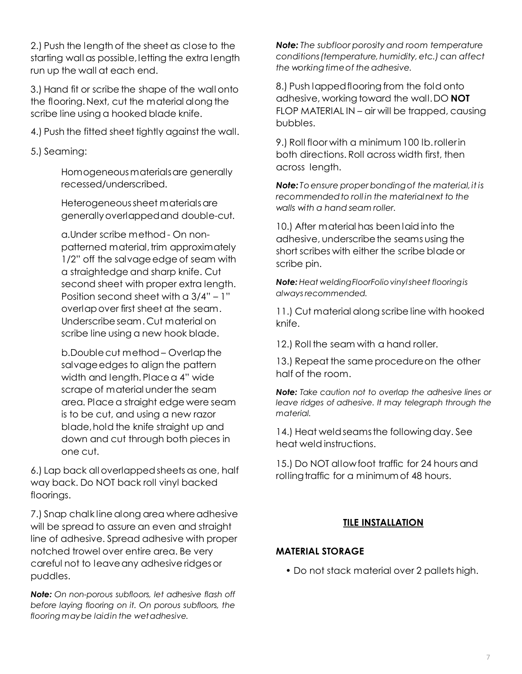2.) Push the length of the sheet as close to the starting wall as possible,letting the extra length run up the wall at each end.

3.) Hand fit or scribe the shape of the wall onto the flooring.Next, cut the material along the scribe line using a hooked blade knife.

- 4.) Push the fitted sheet tightly against the wall.
- 5.) Seaming:

Homogeneousmaterialsare generally recessed/underscribed.

Heterogeneoussheet materialsare generallyoverlappedand double-cut.

a.Under scribe method - On nonpatterned material, trim approximately 1/2" off the salvageedge of seam with a straightedge and sharp knife. Cut second sheet with proper extra length. Position second sheet with a 3/4" – 1" overlap over first sheet at the seam. Underscribeseam. Cut material on scribe line using a new hook blade.

b.Doublecut method – Overlap the salvage edges to align the pattern width and length. Place a 4" wide scrape of material under the seam area. Place a straight edge were seam is to be cut, and using a new razor blade,hold the knife straight up and down and cut through both pieces in one cut.

6.) Lap back all overlappedsheets as one, half way back. Do NOT back roll vinyl backed floorings.

7.) Snap chalk line along area where adhesive will be spread to assure an even and straight line of adhesive. Spread adhesive with proper notched trowel over entire area. Be very careful not to leaveany adhesive ridgesor puddles.

*Note: On non-porous subfloors, let adhesive flash off before laying flooring on it. On porous subfloors, the flooring maybe laidin the wetadhesive.*

*Note: The subfloor porosity and room temperature conditions(temperature,humidity,etc.) can affect the workingtimeof the adhesive.*

8.) Push lappedflooring from the fold onto adhesive, working toward the wall.DO **NOT**  FLOP MATERIAL IN – air will be trapped, causing bubbles.

9.) Roll floor with a minimum100 lb.rollerin both directions. Roll across width first, then across length.

*Note: Toensure proper bondingof the material,it is recommendedto roll in the materialnext to the walls with a hand seam roller.*

10.) After material has been laid into the adhesive, underscribe the seams using the short scribes with either the scribe blade or scribe pin.

*Note: Heat weldingFloorFoliovinylsheet flooringis alwaysrecommended.*

11.) Cut material along scribe line with hooked knife.

12.) Roll the seam with a hand roller.

13.) Repeat the same procedureon the other half of the room.

*Note: Take caution not to overlap the adhesive lines or leave ridges of adhesive. It may telegraph through the material.*

14.) Heat weldseamsthe followingday. See heat weld instructions.

15.) Do NOT allowfoot traffic for 24 hours and rolling traffic for a minimum of 48 hours.

#### **TILE INSTALLATION**

#### **MATERIAL STORAGE**

• Do not stack material over 2 pallets high.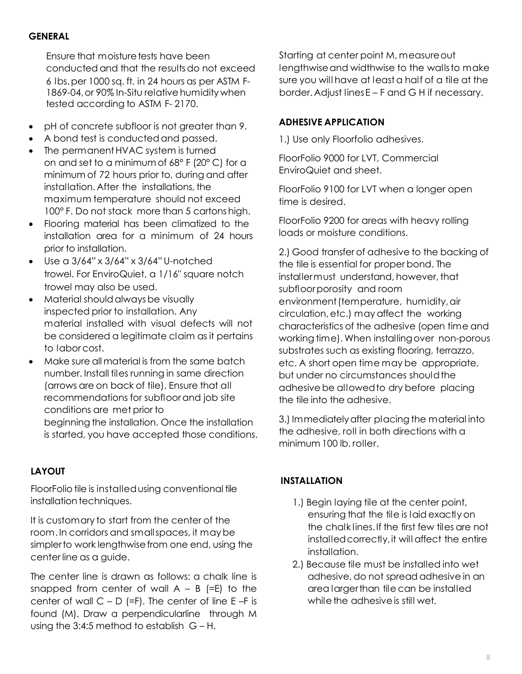#### **GENERAL**

Ensure that moisture tests have been conducted and that the results do not exceed 6 lbs.per 1000 sq. ft. in 24 hours as per ASTM F-1869-04, or 90% In-Situ relative humidity when tested according to ASTM F- 2170.

- pH of concrete subfloor is not greater than 9.
- A bond test is conducted and passed.
- The permanent HVAC system is turned on and set to a minimum of 68° F (20° C) for a minimum of 72 hours prior to, during and after installation. After the installations, the maximum temperature should not exceed 100° F. Do not stack more than 5 cartons high.
- Flooring material has been climatized to the installation area for a minimum of 24 hours prior to installation.
- Use a 3/64" x 3/64" x 3/64"U-notched trowel. For EnviroQuiet, a 1/16" square notch trowel may also be used.
- Material should alwaysbe visually inspected prior to installation. Any material installed with visual defects will not be considered a legitimate claim as it pertains to laborcost.
- Make sure all material is from the same batch number. Install tiles running in same direction (arrows are on back of tile). Ensure that all recommendations for subfloorand job site conditions are met prior to beginning the installation. Once the installation is started, you have accepted those conditions.

# **LAYOUT**

FloorFolio tile is installedusing conventional tile installation techniques.

It is customary to start from the center of the room.In corridors and smallspaces, it maybe simpler to work lengthwise from one end, using the center line as a guide.

The center line is drawn as follows: a chalk line is snapped from center of wall  $A - B$  (=E) to the center of wall  $C - D$  (=F). The center of line  $E - F$  is found (M). Draw a perpendicularline through M using the 3:4:5 method to establish G – H.

Starting at center point M, measure out lengthwiseand widthwise to the wallsto make sure you will have at leasta half of a tile at the border. Adjust linesE – F and G H if necessary.

#### **ADHESIVE APPLICATION**

1.) Use only Floorfolio adhesives.

FloorFolio 9000 for LVT, Commercial EnviroQuiet and sheet.

FloorFolio 9100 for LVT when a longer open time is desired.

FloorFolio 9200 for areas with heavy rolling loads or moisture conditions.

2.) Good transfer of adhesive to the backing of the tile is essential for proper bond. The installermust understand, however, that subfloorporosity and room environment(temperature, humidity,air circulation,etc.) mayaffect the working characteristics of the adhesive (open time and working time). When installingover non-porous substrates such as existing flooring, terrazzo, etc. A short open time may be appropriate, but under no circumstances shouldthe adhesive be allowedto dry before placing the tile into the adhesive.

3.) Immediatelyafter placing the material into the adhesive, roll in both directions with a minimum 100 lb. roller.

# **INSTALLATION**

- 1.) Begin laying tile at the center point, ensuring that the tile is laid exactlyon the chalk lines.If the first few tiles are not installedcorrectly,it willaffect the entire installation.
- 2.) Because tile must be installed into wet adhesive, do not spread adhesive in an area largerthan tile can be installed while the adhesive is still wet.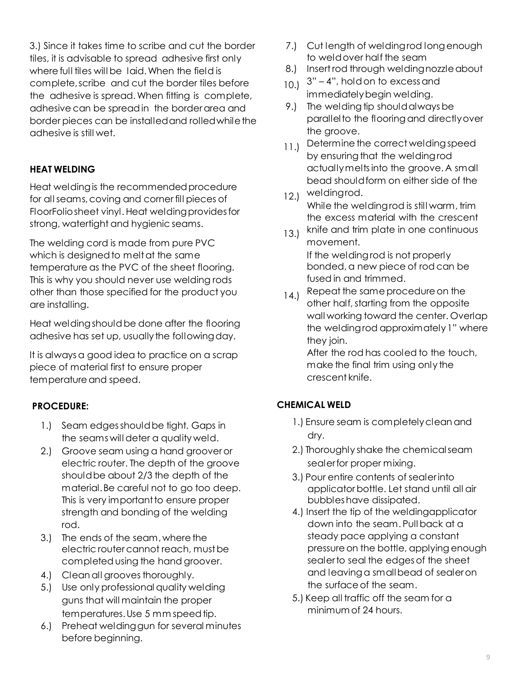3.) Since it takes time to scribe and cut the border tiles, it is advisable to spread adhesive first only where full tiles will be laid. When the field is complete,scribe and cut the border tiles before the adhesive is spread. When fitting is complete, adhesive can be spread in the borderarea and border pieces can be installed and rolled while the adhesive is still wet.

# **HEAT WELDING**

Heat weldingis the recommended procedure for allseams,coving and corner fill pieces of FloorFoliosheet vinyl. Heat weldingprovidesfor strong, watertight and hygienic seams.

The welding cord is made from pure PVC which is designed to melt at the same temperature as the PVC of the sheet flooring. This is why you should never use welding rods other than those specified for the product you are installing.

Heat weldingshould be done after the flooring adhesive has set up, usually the following day.

It is always a good idea to practice on a scrap piece of material first to ensure proper temperature and speed.

# **PROCEDURE:**

- 1.) Seam edgesshouldbe tight. Gaps in the seamswill deter a quality weld.
- 2.) Groove seam using a hand grooveror electric router. The depth of the groove shouldbe about 2/3 the depth of the material.Be careful not to go too deep. This is very important to ensure proper strength and bonding of the welding rod.
- 3.) The ends of the seam, where the electric router cannot reach, must be completedusing the hand groover.
- 4.) Clean all grooves thoroughly.
- 5.) Use only professional quality welding guns that will maintain the proper temperatures. Use 5 mm speed tip.
- 6.) Preheat weldinggun for several minutes before beginning.
- 7.) Cut length of weldingrod long enough to weldover half the seam
- 8.) Insertrod through weldingnozzleabout
- 10.) 3" 4", hold on to excessand immediatelybegin welding.
- 9.) The welding tip shouldalways be parallelto the flooring and directlyover the groove.
- 11.) Determine the correct welding speed by ensuring that the weldingrod actuallymelts into the groove. A small bead shouldform on either side of the weldingrod.
- 12.) While the weldingrod is still warm, trim the excess material with the crescent
- 13.) knife and trim plate in one continuous movement. If the weldingrod is not properly bonded, a new piece of rod can be fused in and trimmed.
- 14.) Repeat the same procedure on the other half, starting from the opposite wall working toward the center. Overlap the weldingrod approximately1" where they join.

After the rod has cooled to the touch, make the final trim using only the crescent knife.

# **CHEMICAL WELD**

- 1.) Ensure seam is completelyclean and dry.
- 2.) Thoroughly shake the chemicalseam sealerfor proper mixing.
- 3.) Pour entire contents of sealerinto applicatorbottle. Let stand until all air bubbleshave dissipated.
- 4.) Insert the tip of the weldingapplicator down into the seam. Pull back at a steady pace applying a constant pressure on the bottle, applying enough sealerto seal the edgesof the sheet and leaving a smallbead of sealeron the surface of the seam.
- 5.) Keep all traffic off the seam for a minimum of 24 hours.